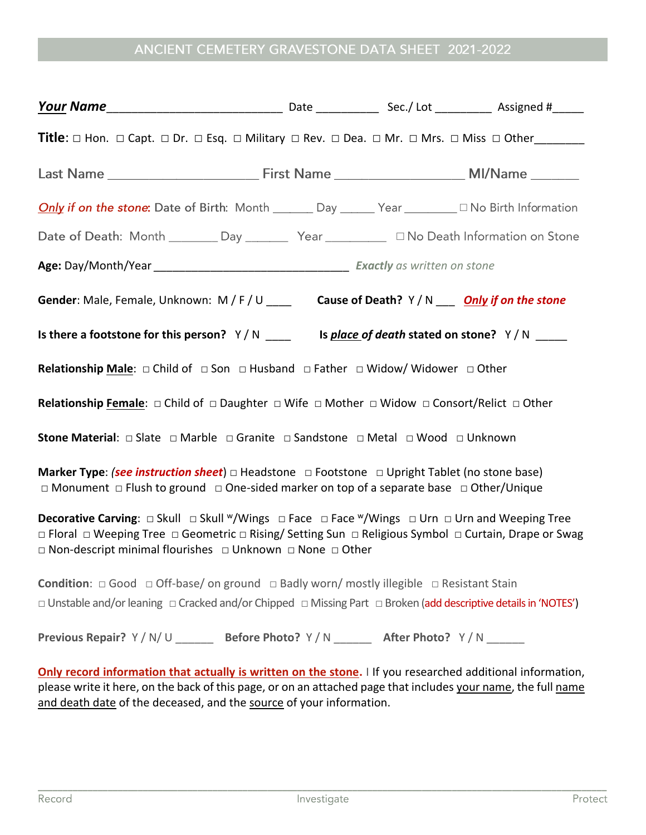## ANCIENT CEMETERY GRAVESTONE DATA SHEET 2021-2022

| <b>Only if on the stone:</b> Date of Birth: Month <u></u> Day <sub>200</sub> Year 2010 Birth Information                                                                                                                                                                                                                        |  |  |  |
|---------------------------------------------------------------------------------------------------------------------------------------------------------------------------------------------------------------------------------------------------------------------------------------------------------------------------------|--|--|--|
| Date of Death: Month _______ Day ________ Year __________ □ No Death Information on Stone                                                                                                                                                                                                                                       |  |  |  |
|                                                                                                                                                                                                                                                                                                                                 |  |  |  |
| Gender: Male, Female, Unknown: M/F/U ____ Cause of Death? Y/N ___ Only if on the stone                                                                                                                                                                                                                                          |  |  |  |
| Is there a footstone for this person? $Y/N$ _________ Is place of death stated on stone? $Y/N$ _____                                                                                                                                                                                                                            |  |  |  |
| <b>Relationship Male:</b> $\Box$ Child of $\Box$ Son $\Box$ Husband $\Box$ Father $\Box$ Widow/ Widower $\Box$ Other                                                                                                                                                                                                            |  |  |  |
| <b>Relationship Female:</b> $\Box$ Child of $\Box$ Daughter $\Box$ Wife $\Box$ Mother $\Box$ Widow $\Box$ Consort/Relict $\Box$ Other                                                                                                                                                                                           |  |  |  |
| <b>Stone Material</b> : □ Slate □ Marble □ Granite □ Sandstone □ Metal □ Wood □ Unknown                                                                                                                                                                                                                                         |  |  |  |
| <b>Marker Type: <i>(see instruction sheet</i>)</b> $\Box$ Headstone $\Box$ Footstone $\Box$ Upright Tablet (no stone base)<br>$\Box$ Monument $\Box$ Flush to ground $\Box$ One-sided marker on top of a separate base $\Box$ Other/Unique                                                                                      |  |  |  |
| <b>Decorative Carving</b> :  □ Skull  □ Skull <sup>w</sup> /Wings  □ Face  □ Face <sup>w</sup> /Wings  □ Urn  □ Urn and Weeping Tree<br>□ Floral □ Weeping Tree □ Geometric □ Rising/ Setting Sun □ Religious Symbol □ Curtain, Drape or Swag<br>$\Box$ Non-descript minimal flourishes $\Box$ Unknown $\Box$ None $\Box$ Other |  |  |  |
| <b>Condition:</b> $\Box$ Good $\Box$ Off-base/ on ground $\Box$ Badly worn/ mostly illegible $\Box$ Resistant Stain<br>□ Unstable and/or leaning □ Cracked and/or Chipped □ Missing Part □ Broken (add descriptive details in 'NOTES')                                                                                          |  |  |  |
| Previous Repair? Y / N / U _________ Before Photo? Y / N ________ After Photo? Y / N _______                                                                                                                                                                                                                                    |  |  |  |
| Only record information that actually is written on the stone. I If you researched additional information,<br>please write it here, on the back of this page, or on an attached page that includes your name, the full name<br>and death date of the deceased, and the source of your information.                              |  |  |  |